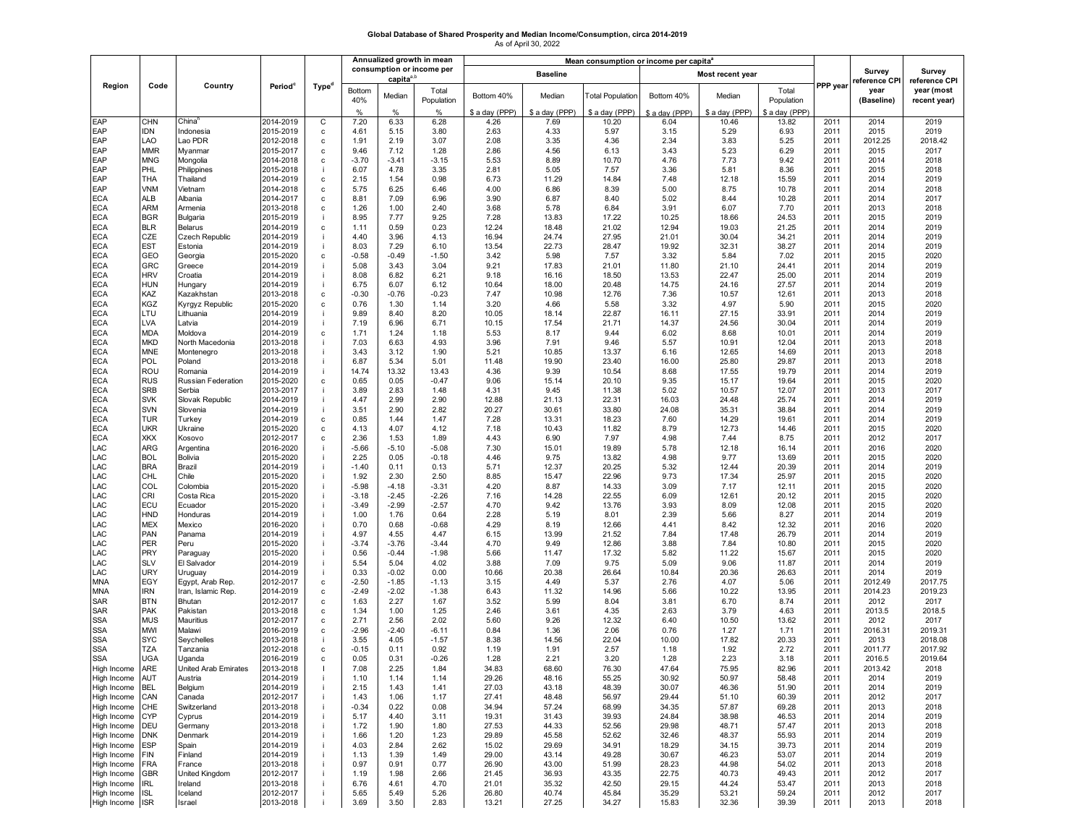## **Global Database of Shared Prosperity and Median Income/Consumption, circa 2014-2019** As of April 30, 2022

|                                          |                   | Country                      | Period <sup>c</sup>    | Type <sup>d</sup> | Annualized growth in mean |                                 |                     | Mean consumption or income per capita <sup>®</sup> |                |                         |                  |                |                     |              |                                     |                                             |
|------------------------------------------|-------------------|------------------------------|------------------------|-------------------|---------------------------|---------------------------------|---------------------|----------------------------------------------------|----------------|-------------------------|------------------|----------------|---------------------|--------------|-------------------------------------|---------------------------------------------|
|                                          |                   |                              |                        |                   | consumption or income per |                                 |                     | <b>Baseline</b>                                    |                |                         | Most recent year |                |                     |              | Survey                              | Survey                                      |
| Region                                   | Code              |                              |                        |                   | <b>Bottom</b><br>40%      | capita <sup>a,t</sup><br>Median | Total<br>Population | Bottom 40%                                         | Median         | <b>Total Population</b> | Bottom 40%       | Median         | Total<br>Population | PPP year     | reference CPI<br>year<br>(Baseline) | reference CPI<br>year (most<br>recent year) |
| EAP                                      |                   | China <sup>r</sup>           |                        |                   | $\frac{0}{2}$             | $\frac{0}{0}$<br>6.33           | %                   | \$ a day (PPP)                                     | \$ a day (PPP) | \$ a day (PPP)          | \$ a day (PPP)   | \$ a day (PPP) | \$ a day (PPP)      |              |                                     |                                             |
| EAP                                      | CHN<br><b>IDN</b> | Indonesia                    | 2014-2019<br>2015-2019 | C<br>c            | 7.20<br>4.61              | 5.15                            | 6.28<br>3.80        | 4.26<br>2.63                                       | 7.69<br>4.33   | 10.20<br>5.97           | 6.04<br>3.15     | 10.46<br>5.29  | 13.82<br>6.93       | 2011<br>2011 | 2014<br>2015                        | 2019<br>2019                                |
| EAP                                      | LAO               | Lao PDR                      | 2012-2018              | $\mathbf c$       | 1.91                      | 2.19                            | 3.07                | 2.08                                               | 3.35           | 4.36                    | 2.34             | 3.83           | 5.25                | 2011         | 2012.25                             | 2018.42                                     |
| EAP                                      | <b>MMR</b>        | Myanmar                      | 2015-2017              | $\mathbf c$       | 9.46                      | 7.12                            | 1.28                | 2.86                                               | 4.56           | 6.13                    | 3.43             | 5.23           | 6.29                | 2011         | 2015                                | 2017                                        |
| EAP                                      | <b>MNG</b>        | Mongolia                     | 2014-2018              | c                 | $-3.70$                   | $-3.41$                         | $-3.15$             | 5.53                                               | 8.89           | 10.70                   | 4.76             | 7.73           | 9.42                | 2011         | 2014                                | 2018                                        |
| EAP                                      | PHL               | Philippines                  | 2015-2018              |                   | 6.07                      | 4.78                            | 3.35                | 2.81                                               | 5.05           | 7.57                    | 3.36             | 5.81           | 8.36                | 2011         | 2015                                | 2018                                        |
| EAP                                      | THA               | Thailand                     | 2014-2019              | $\mathtt{c}$      | 2.15                      | 1.54                            | 0.98                | 6.73                                               | 11.29          | 14.84                   | 7.48             | 12.18          | 15.59               | 2011         | 2014                                | 2019                                        |
| EAP                                      | VNM               | Vietnam                      | 2014-2018              | c                 | 5.75                      | 6.25                            | 6.46                | 4.00                                               | 6.86           | 8.39                    | 5.00             | 8.75           | 10.78               | 2011         | 2014                                | 2018                                        |
| <b>ECA</b>                               | ALB               | Albania                      | 2014-2017              | $\mathbf c$       | 8.81                      | 7.09                            | 6.96                | 3.90                                               | 6.87           | 8.40                    | 5.02             | 8.44           | 10.28               | 2011         | 2014                                | 2017                                        |
| <b>ECA</b>                               | <b>ARM</b>        | Armenia                      | 2013-2018              | c                 | 1.26                      | 1.00                            | 2.40                | 3.68                                               | 5.78           | 6.84                    | 3.91             | 6.07           | 7.70                | 2011         | 2013                                | 2018                                        |
| <b>ECA</b>                               | <b>BGR</b>        | Bulgaria                     | 2015-2019              |                   | 8.95                      | 7.77                            | 9.25                | 7.28                                               | 13.83          | 17.22                   | 10.25            | 18.66          | 24.53               | 2011         | 2015                                | 2019                                        |
| <b>ECA</b>                               | <b>BLR</b>        | Belarus                      | 2014-2019              | $\mathbf c$       | 1.11                      | 0.59                            | 0.23                | 12.24                                              | 18.48          | 21.02                   | 12.94            | 19.03          | 21.25               | 2011         | 2014                                | 2019                                        |
| <b>ECA</b><br><b>ECA</b>                 | CZE<br><b>EST</b> | Czech Republic<br>Estonia    | 2014-2019<br>2014-2019 |                   | 4.40<br>8.03              | 3.96<br>7.29                    | 4.13<br>6.10        | 16.94<br>13.54                                     | 24.74<br>22.73 | 27.95<br>28.47          | 21.01<br>19.92   | 30.04<br>32.31 | 34.21<br>38.27      | 2011<br>2011 | 2014<br>2014                        | 2019<br>2019                                |
| <b>ECA</b>                               | GEO               | Georgia                      | 2015-2020              | $\mathbf c$       | $-0.58$                   | $-0.49$                         | $-1.50$             | 3.42                                               | 5.98           | 7.57                    | 3.32             | 5.84           | 7.02                | 2011         | 2015                                | 2020                                        |
| <b>ECA</b>                               | GRC               | Greece                       | 2014-2019              |                   | 5.08                      | 3.43                            | 3.04                | 9.21                                               | 17.83          | 21.01                   | 11.80            | 21.10          | 24.41               | 2011         | 2014                                | 2019                                        |
| <b>ECA</b>                               | <b>HRV</b>        | Croatia                      | 2014-2019              |                   | 8.08                      | 6.82                            | 6.21                | 9.18                                               | 16.16          | 18.50                   | 13.53            | 22.47          | 25.00               | 2011         | 2014                                | 2019                                        |
| <b>ECA</b>                               | HUN               | Hungary                      | 2014-2019              |                   | 6.75                      | 6.07                            | 6.12                | 10.64                                              | 18.00          | 20.48                   | 14.75            | 24.16          | 27.57               | 2011         | 2014                                | 2019                                        |
| <b>ECA</b>                               | KAZ               | Kazakhstan                   | 2013-2018              | $\mathbf c$       | $-0.30$                   | $-0.76$                         | $-0.23$             | 7.47                                               | 10.98          | 12.76                   | 7.36             | 10.57          | 12.61               | 2011         | 2013                                | 2018                                        |
| <b>ECA</b>                               | KGZ               | Kyrgyz Republic              | 2015-2020              | c                 | 0.76                      | 1.30                            | 1.14                | 3.20                                               | 4.66           | 5.58                    | 3.32             | 4.97           | 5.90                | 2011         | 2015                                | 2020                                        |
| <b>ECA</b>                               | LTU               | Lithuania                    | 2014-2019              |                   | 9.89                      | 8.40                            | 8.20                | 10.05                                              | 18.14          | 22.87                   | 16.11            | 27.15          | 33.91               | 2011         | 2014                                | 2019                                        |
| <b>ECA</b>                               | LVA               | Latvia                       | 2014-2019              | j                 | 7.19                      | 6.96                            | 6.71                | 10.15                                              | 17.54          | 21.71                   | 14.37            | 24.56          | 30.04               | 2011         | 2014                                | 2019                                        |
| <b>ECA</b>                               | <b>MDA</b>        | Moldova                      | 2014-2019              | c                 | 1.71                      | 1.24                            | 1.18                | 5.53                                               | 8.17           | 9.44                    | 6.02             | 8.68           | 10.01               | 2011         | 2014                                | 2019                                        |
| <b>ECA</b>                               | <b>MKD</b>        | North Macedonia              | 2013-2018              |                   | 7.03                      | 6.63                            | 4.93                | 3.96                                               | 7.91           | 9.46                    | 5.57             | 10.91          | 12.04               | 2011         | 2013                                | 2018                                        |
| <b>ECA</b>                               | MNE               | Montenegro                   | 2013-2018              |                   | 3.43                      | 3.12                            | 1.90                | 5.21                                               | 10.85          | 13.37                   | 6.16             | 12.65          | 14.69               | 2011         | 2013                                | 2018                                        |
| <b>ECA</b><br><b>ECA</b>                 | POL<br>ROU        | Poland<br>Romania            | 2013-2018<br>2014-2019 |                   | 6.87<br>14.74             | 5.34<br>13.32                   | 5.01<br>13.43       | 11.48<br>4.36                                      | 19.90<br>9.39  | 23.40<br>10.54          | 16.00<br>8.68    | 25.80<br>17.55 | 29.87<br>19.79      | 2011<br>2011 | 2013<br>2014                        | 2018<br>2019                                |
| <b>ECA</b>                               | RUS               | Russian Federation           | 2015-2020              | $\mathbf c$       | 0.65                      | 0.05                            | $-0.47$             | 9.06                                               | 15.14          | 20.10                   | 9.35             | 15.17          | 19.64               | 2011         | 2015                                | 2020                                        |
| <b>ECA</b>                               | <b>SRB</b>        | Serbia                       | 2013-2017              |                   | 3.89                      | 2.83                            | 1.48                | 4.31                                               | 9.45           | 11.38                   | 5.02             | 10.57          | 12.07               | 2011         | 2013                                | 2017                                        |
| <b>ECA</b>                               | <b>SVK</b>        | Slovak Republic              | 2014-2019              |                   | 4.47                      | 2.99                            | 2.90                | 12.88                                              | 21.13          | 22.31                   | 16.03            | 24.48          | 25.74               | 2011         | 2014                                | 2019                                        |
| <b>ECA</b>                               | SVN               | Slovenia                     | 2014-2019              |                   | 3.51                      | 2.90                            | 2.82                | 20.27                                              | 30.61          | 33.80                   | 24.08            | 35.31          | 38.84               | 2011         | 2014                                | 2019                                        |
| <b>ECA</b>                               | <b>TUR</b>        | Turkey                       | 2014-2019              | c                 | 0.85                      | 1.44                            | 1.47                | 7.28                                               | 13.31          | 18.23                   | 7.60             | 14.29          | 19.61               | 2011         | 2014                                | 2019                                        |
| <b>ECA</b>                               | UKR               | Ukraine                      | 2015-2020              | $\mathbf c$       | 4.13                      | 4.07                            | 4.12                | 7.18                                               | 10.43          | 11.82                   | 8.79             | 12.73          | 14.46               | 2011         | 2015                                | 2020                                        |
| <b>ECA</b>                               | <b>XKX</b>        | Kosovo                       | 2012-2017              | c                 | 2.36                      | 1.53                            | 1.89                | 4.43                                               | 6.90           | 7.97                    | 4.98             | 7.44           | 8.75                | 2011         | 2012                                | 2017                                        |
| LAC                                      | ARG               | Argentina                    | 2016-2020              |                   | $-5.66$                   | $-5.10$                         | $-5.08$             | 7.30                                               | 15.01          | 19.89                   | 5.78             | 12.18          | 16.14               | 2011         | 2016                                | 2020                                        |
| LAC                                      | <b>BOL</b>        | Bolivia                      | 2015-2020              |                   | 2.25                      | 0.05                            | $-0.18$             | 4.46                                               | 9.75           | 13.82                   | 4.98             | 9.77           | 13.69               | 2011         | 2015                                | 2020                                        |
| LAC                                      | <b>BRA</b>        | Brazil                       | 2014-2019              |                   | $-1.40$                   | 0.11                            | 0.13                | 5.71                                               | 12.37          | 20.25                   | 5.32             | 12.44          | 20.39               | 2011         | 2014                                | 2019                                        |
| LAC                                      | CHL               | Chile                        | 2015-2020              |                   | 1.92                      | 2.30                            | 2.50                | 8.85                                               | 15.47          | 22.96                   | 9.73             | 17.34          | 25.97               | 2011         | 2015                                | 2020                                        |
| LAC<br>LAC                               | COL<br>CRI        | Colombia<br>Costa Rica       | 2015-2020<br>2015-2020 |                   | $-5.98$<br>$-3.18$        | $-4.18$<br>$-2.45$              | $-3.31$<br>$-2.26$  | 4.20<br>7.16                                       | 8.87<br>14.28  | 14.33<br>22.55          | 3.09<br>6.09     | 7.17<br>12.61  | 12.11<br>20.12      | 2011<br>2011 | 2015<br>2015                        | 2020<br>2020                                |
| LAC                                      | ECU               | Ecuador                      | 2015-2020              |                   | $-3.49$                   | $-2.99$                         | $-2.57$             | 4.70                                               | 9.42           | 13.76                   | 3.93             | 8.09           | 12.08               | 2011         | 2015                                | 2020                                        |
| LAC                                      | HND               | Honduras                     | 2014-2019              |                   | 1.00                      | 1.76                            | 0.64                | 2.28                                               | 5.19           | 8.01                    | 2.39             | 5.66           | 8.27                | 2011         | 2014                                | 2019                                        |
| LAC                                      | <b>MEX</b>        | Mexico                       | 2016-2020              |                   | 0.70                      | 0.68                            | $-0.68$             | 4.29                                               | 8.19           | 12.66                   | 4.41             | 8.42           | 12.32               | 2011         | 2016                                | 2020                                        |
| LAC                                      | PAN               | Panama                       | 2014-2019              |                   | 4.97                      | 4.55                            | 4.47                | 6.15                                               | 13.99          | 21.52                   | 7.84             | 17.48          | 26.79               | 2011         | 2014                                | 2019                                        |
| LAC                                      | PER               | Peru                         | 2015-2020              |                   | $-3.74$                   | $-3.76$                         | $-3.44$             | 4.70                                               | 9.49           | 12.86                   | 3.88             | 7.84           | 10.80               | 2011         | 2015                                | 2020                                        |
| LAC                                      | PRY               | Paraguay                     | 2015-2020              |                   | 0.56                      | $-0.44$                         | $-1.98$             | 5.66                                               | 11.47          | 17.32                   | 5.82             | 11.22          | 15.67               | 2011         | 2015                                | 2020                                        |
| LAC                                      | <b>SLV</b>        | El Salvador                  | 2014-2019              |                   | 5.54                      | 5.04                            | 4.02                | 3.88                                               | 7.09           | 9.75                    | 5.09             | 9.06           | 11.87               | 2011         | 2014                                | 2019                                        |
| LAC                                      | URY               | Uruguay                      | 2014-2019              |                   | 0.33                      | $-0.02$                         | 0.00                | 10.66                                              | 20.38          | 26.64                   | 10.84            | 20.36          | 26.63               | 2011         | 2014                                | 2019                                        |
| MNA<br><b>MNA</b>                        | EGY<br><b>IRN</b> | Egypt, Arab Rep.             | 2012-2017              | $\mathtt{c}$      | $-2.50$<br>$-2.49$        | $-1.85$<br>$-2.02$              | $-1.13$             | 3.15<br>6.43                                       | 4.49           | 5.37                    | 2.76<br>5.66     | 4.07<br>10.22  | 5.06                | 2011<br>2011 | 2012.49                             | 2017.75<br>2019.23                          |
| SAR                                      | <b>BTN</b>        | Iran, Islamic Rep.<br>Bhutan | 2014-2019<br>2012-2017 | c<br>$\mathbf c$  | 1.63                      | 2.27                            | $-1.38$<br>1.67     | 3.52                                               | 11.32<br>5.99  | 14.96<br>8.04           | 3.81             | 6.70           | 13.95<br>8.74       | 2011         | 2014.23<br>2012                     | 2017                                        |
| <b>SAR</b>                               | <b>PAK</b>        | Pakistan                     | 2013-2018              | c                 | 1.34                      | 1.00                            | 1.25                | 2.46                                               | 3.61           | 4.35                    | 2.63             | 3.79           | 4.63                | 2011         | 2013.5                              | 2018.5                                      |
| <b>SSA</b>                               | <b>MUS</b>        | Mauritius                    | 2012-2017              | c                 | 2.71                      | 2.56                            | 2.02                | 5.60                                               | 9.26           | 12.32                   | 6.40             | 10.50          | 13.62               | 2011         | 2012                                | 2017                                        |
| <b>SSA</b>                               | MWI               | Malawi                       | 2016-2019              | $\mathbf c$       | $-2.96$                   | $-2.40$                         | $-6.11$             | 0.84                                               | 1.36           | 2.06                    | 0.76             | 1.27           | 1.71                | 2011         | 2016.31                             | 2019.31                                     |
| <b>SSA</b>                               | SYC               | Seychelles                   | 2013-2018              | -i                | 3.55                      | 4.05                            | $-1.57$             | 8.38                                               | 14.56          | 22.04                   | 10.00            | 17.82          | 20.33               | 2011         | 2013                                | 2018.08                                     |
| <b>SSA</b>                               | TZA               | Tanzania                     | 2012-2018              | c                 | $-0.15$                   | 0.11                            | 0.92                | 1.19                                               | 1.91           | 2.57                    | 1.18             | 1.92           | 2.72                | 2011         | 2011.77                             | 2017.92                                     |
| <b>SSA</b>                               | UGA               | Uganda                       | 2016-2019              | c                 | 0.05                      | 0.31                            | $-0.26$             | 1.28                                               | 2.21           | 3.20                    | 1.28             | 2.23           | 3.18                | 2011         | 2016.5                              | 2019.64                                     |
| High Income                              | ARE               | United Arab Emirates         | 2013-2018              |                   | 7.08                      | 2.25                            | 1.84                | 34.83                                              | 68.60          | 76.30                   | 47.64            | 75.95          | 82.96               | 2011         | 2013.42                             | 2018                                        |
| High Income                              | AUT               | Austria                      | 2014-2019              |                   | 1.10                      | 1.14                            | 1.14                | 29.26                                              | 48.16          | 55.25                   | 30.92            | 50.97          | 58.48               | 2011         | 2014                                | 2019                                        |
| High Income                              | BEL               | Belgium                      | 2014-2019              |                   | 2.15                      | 1.43                            | 1.41                | 27.03                                              | 43.18          | 48.39                   | 30.07            | 46.36          | 51.90               | 2011         | 2014                                | 2019                                        |
| High Income                              | CAN               | Canada                       | 2012-2017              |                   | 1.43                      | 1.06                            | 1.17                | 27.41                                              | 48.48          | 56.97                   | 29.44            | 51.10          | 60.39               | 2011         | 2012                                | 2017                                        |
| High Income                              | CHE               | Switzerland                  | 2013-2018              |                   | $-0.34$                   | 0.22                            | 0.08                | 34.94                                              | 57.24          | 68.99                   | 34.35            | 57.87          | 69.28               | 2011         | 2013                                | 2018                                        |
| High Income                              | CYP               | Cyprus                       | 2014-2019              |                   | 5.17                      | 4.40                            | 3.11                | 19.31                                              | 31.43          | 39.93                   | 24.84            | 38.98          | 46.53               | 2011         | 2014                                | 2019                                        |
| <b>High Income</b><br><b>High Income</b> | DEU<br>DNK        | Germany                      | 2013-2018<br>2014-2019 |                   | 1.72<br>1.66              | 1.90<br>1.20                    | 1.80<br>1.23        | 27.53<br>29.89                                     | 44.33<br>45.58 | 52.56<br>52.62          | 29.98<br>32.46   | 48.71<br>48.37 | 57.47<br>55.93      | 2011<br>2011 | 2013<br>2014                        | 2018<br>2019                                |
| High Income                              | ESP               | Denmark<br>Spain             | 2014-2019              |                   | 4.03                      | 2.84                            | 2.62                | 15.02                                              | 29.69          | 34.91                   | 18.29            | 34.15          | 39.73               | 2011         | 2014                                | 2019                                        |
| High Income                              | FIN               | Finland                      | 2014-2019              |                   | 1.13                      | 1.39                            | 1.49                | 29.00                                              | 43.14          | 49.28                   | 30.67            | 46.23          | 53.07               | 2011         | 2014                                | 2019                                        |
| High Income                              | FRA               | France                       | 2013-2018              |                   | 0.97                      | 0.91                            | 0.77                | 26.90                                              | 43.00          | 51.99                   | 28.23            | 44.98          | 54.02               | 2011         | 2013                                | 2018                                        |
| High Income                              | GBR               | United Kingdom               | 2012-2017              |                   | 1.19                      | 1.98                            | 2.66                | 21.45                                              | 36.93          | 43.35                   | 22.75            | 40.73          | 49.43               | 2011         | 2012                                | 2017                                        |
| High Income                              | IRL               | Ireland                      | 2013-2018              |                   | 6.76                      | 4.61                            | 4.70                | 21.01                                              | 35.32          | 42.50                   | 29.15            | 44.24          | 53.47               | 2011         | 2013                                | 2018                                        |
| High Income                              | <b>ISL</b>        | Iceland                      | 2012-2017              |                   | 5.65                      | 5.49                            | 5.26                | 26.80                                              | 40.74          | 45.84                   | 35.29            | 53.21          | 59.24               | 2011         | 2012                                | 2017                                        |
| High Income ISR                          |                   |                              |                        |                   |                           |                                 |                     | 13.21                                              | 27.25          | 34.27                   | 15.83            | 32.36          | 39.39               | 2011         | 2013                                |                                             |